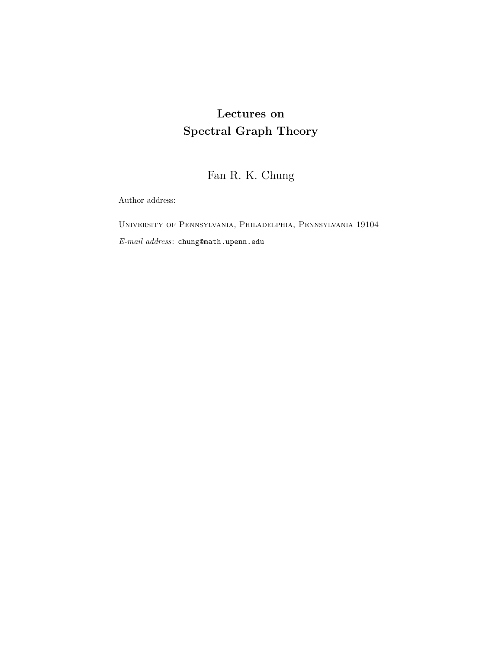# **Lectures on Spectral Graph Theory**

Fan R. K. Chung

Author address:

University of Pennsylvania, Philadelphia, Pennsylvania 19104 *E-mail address*: chung@math.upenn.edu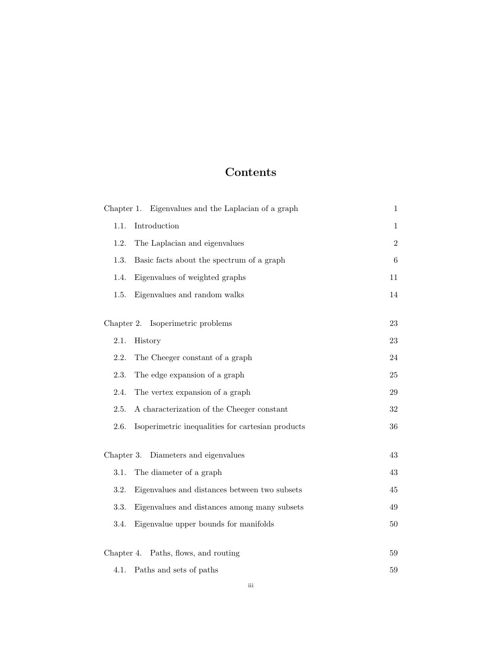## **Contents**

|                                         | Chapter 1. Eigenvalues and the Laplacian of a graph | $\mathbf{1}$ |
|-----------------------------------------|-----------------------------------------------------|--------------|
| 1.1.                                    | Introduction                                        | $\mathbf{1}$ |
| 1.2.                                    | The Laplacian and eigenvalues                       | $\,2$        |
| 1.3.                                    | Basic facts about the spectrum of a graph           | 6            |
| 1.4.                                    | Eigenvalues of weighted graphs                      | 11           |
| 1.5.                                    | Eigenvalues and random walks                        | 14           |
|                                         | Chapter 2. Isoperimetric problems                   | 23           |
| 2.1.                                    | History                                             | 23           |
| 2.2.                                    | The Cheeger constant of a graph                     | 24           |
| 2.3.                                    | The edge expansion of a graph                       | 25           |
| 2.4.                                    | The vertex expansion of a graph                     | 29           |
| 2.5.                                    | A characterization of the Cheeger constant          | $32\,$       |
| 2.6.                                    | Isoperimetric inequalities for cartesian products   | 36           |
| Diameters and eigenvalues<br>Chapter 3. |                                                     | 43           |
| 3.1.                                    | The diameter of a graph                             | 43           |
| 3.2.                                    | Eigenvalues and distances between two subsets       | 45           |
| 3.3.                                    | Eigenvalues and distances among many subsets        | 49           |
| 3.4.                                    | Eigenvalue upper bounds for manifolds               | $50\,$       |
|                                         | Chapter 4. Paths, flows, and routing                | 59           |
| 4.1.                                    | Paths and sets of paths                             | 59           |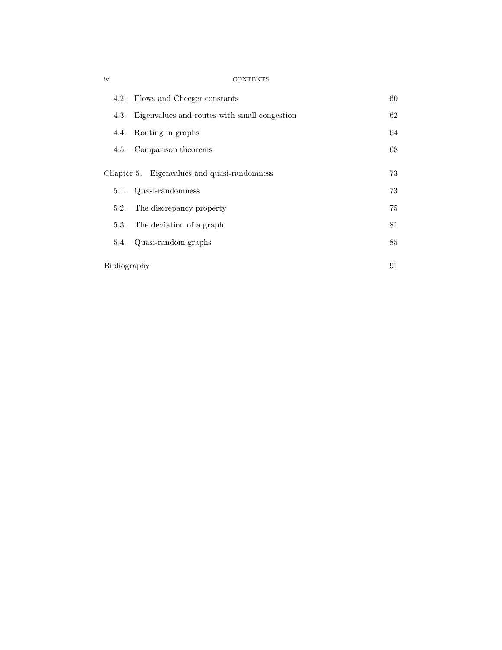|              | 4.2. Flows and Cheeger constants             | 60 |
|--------------|----------------------------------------------|----|
| 4.3.         | Eigenvalues and routes with small congestion | 62 |
| 4.4.         | Routing in graphs                            | 64 |
|              | 4.5. Comparison theorems                     | 68 |
|              | Chapter 5. Eigenvalues and quasi-randomness  | 73 |
| 5.1.         | Quasi-randomness                             | 73 |
|              |                                              |    |
| 5.2.         | The discrepancy property                     | 75 |
|              | 5.3. The deviation of a graph                | 81 |
| 5.4.         | Quasi-random graphs                          | 85 |
|              |                                              |    |
| Bibliography |                                              | 91 |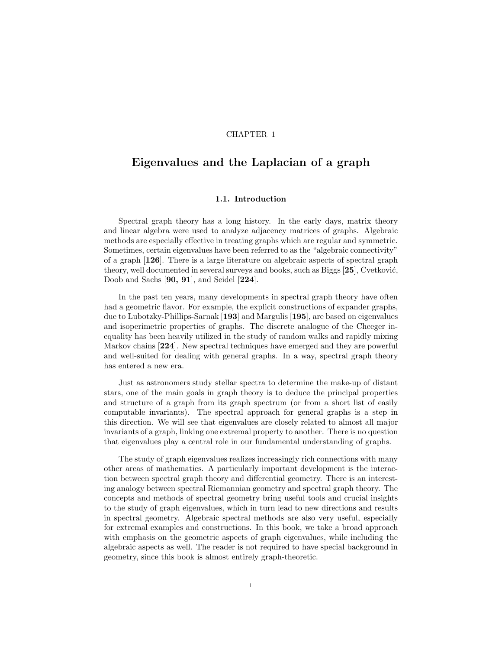#### CHAPTER 1

## **Eigenvalues and the Laplacian of a graph**

#### **1.1. Introduction**

Spectral graph theory has a long history. In the early days, matrix theory and linear algebra were used to analyze adjacency matrices of graphs. Algebraic methods are especially effective in treating graphs which are regular and symmetric. Sometimes, certain eigenvalues have been referred to as the "algebraic connectivity" of a graph [**126**]. There is a large literature on algebraic aspects of spectral graph theory, well documented in several surveys and books, such as Biggs [25], Cvetković, Doob and Sachs [**90, 91**], and Seidel [**224**].

In the past ten years, many developments in spectral graph theory have often had a geometric flavor. For example, the explicit constructions of expander graphs, due to Lubotzky-Phillips-Sarnak [**193**] and Margulis [**195**], are based on eigenvalues and isoperimetric properties of graphs. The discrete analogue of the Cheeger inequality has been heavily utilized in the study of random walks and rapidly mixing Markov chains [**224**]. New spectral techniques have emerged and they are powerful and well-suited for dealing with general graphs. In a way, spectral graph theory has entered a new era.

Just as astronomers study stellar spectra to determine the make-up of distant stars, one of the main goals in graph theory is to deduce the principal properties and structure of a graph from its graph spectrum (or from a short list of easily computable invariants). The spectral approach for general graphs is a step in this direction. We will see that eigenvalues are closely related to almost all major invariants of a graph, linking one extremal property to another. There is no question that eigenvalues play a central role in our fundamental understanding of graphs.

The study of graph eigenvalues realizes increasingly rich connections with many other areas of mathematics. A particularly important development is the interaction between spectral graph theory and differential geometry. There is an interesting analogy between spectral Riemannian geometry and spectral graph theory. The concepts and methods of spectral geometry bring useful tools and crucial insights to the study of graph eigenvalues, which in turn lead to new directions and results in spectral geometry. Algebraic spectral methods are also very useful, especially for extremal examples and constructions. In this book, we take a broad approach with emphasis on the geometric aspects of graph eigenvalues, while including the algebraic aspects as well. The reader is not required to have special background in geometry, since this book is almost entirely graph-theoretic.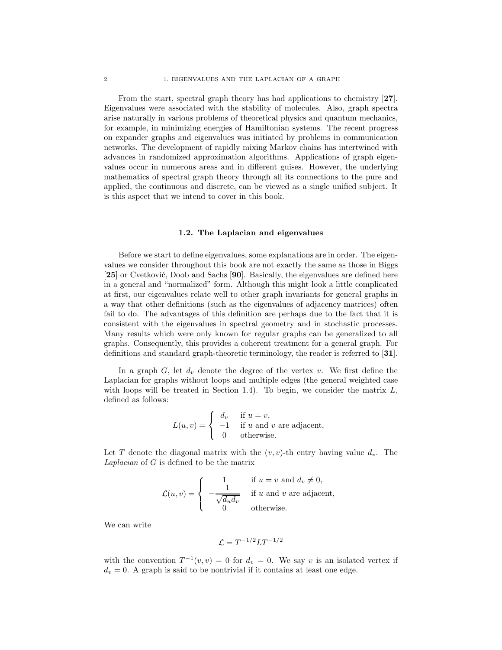From the start, spectral graph theory has had applications to chemistry [**27**]. Eigenvalues were associated with the stability of molecules. Also, graph spectra arise naturally in various problems of theoretical physics and quantum mechanics, for example, in minimizing energies of Hamiltonian systems. The recent progress on expander graphs and eigenvalues was initiated by problems in communication networks. The development of rapidly mixing Markov chains has intertwined with advances in randomized approximation algorithms. Applications of graph eigenvalues occur in numerous areas and in different guises. However, the underlying mathematics of spectral graph theory through all its connections to the pure and applied, the continuous and discrete, can be viewed as a single unified subject. It is this aspect that we intend to cover in this book.

#### **1.2. The Laplacian and eigenvalues**

Before we start to define eigenvalues, some explanations are in order. The eigenvalues we consider throughout this book are not exactly the same as those in Biggs [25] or Cvetković, Doob and Sachs [90]. Basically, the eigenvalues are defined here in a general and "normalized" form. Although this might look a little complicated at first, our eigenvalues relate well to other graph invariants for general graphs in a way that other definitions (such as the eigenvalues of adjacency matrices) often fail to do. The advantages of this definition are perhaps due to the fact that it is consistent with the eigenvalues in spectral geometry and in stochastic processes. Many results which were only known for regular graphs can be generalized to all graphs. Consequently, this provides a coherent treatment for a general graph. For definitions and standard graph-theoretic terminology, the reader is referred to [**31**].

In a graph  $G$ , let  $d_v$  denote the degree of the vertex v. We first define the Laplacian for graphs without loops and multiple edges (the general weighted case with loops will be treated in Section 1.4). To begin, we consider the matrix  $L$ , defined as follows:

$$
L(u, v) = \begin{cases} d_v & \text{if } u = v, \\ -1 & \text{if } u \text{ and } v \text{ are adjacent,} \\ 0 & \text{otherwise.} \end{cases}
$$

Let T denote the diagonal matrix with the  $(v, v)$ -th entry having value  $d_v$ . The *Laplacian* of G is defined to be the matrix

$$
\mathcal{L}(u,v) = \begin{cases}\n1 & \text{if } u = v \text{ and } d_v \neq 0, \\
-\frac{1}{\sqrt{d_u d_v}} & \text{if } u \text{ and } v \text{ are adjacent,} \\
0 & \text{otherwise.} \n\end{cases}
$$

We can write

$$
\mathcal{L} = T^{-1/2}LT^{-1/2}
$$

with the convention  $T^{-1}(v, v) = 0$  for  $d_v = 0$ . We say v is an isolated vertex if  $d_v = 0$ . A graph is said to be nontrivial if it contains at least one edge.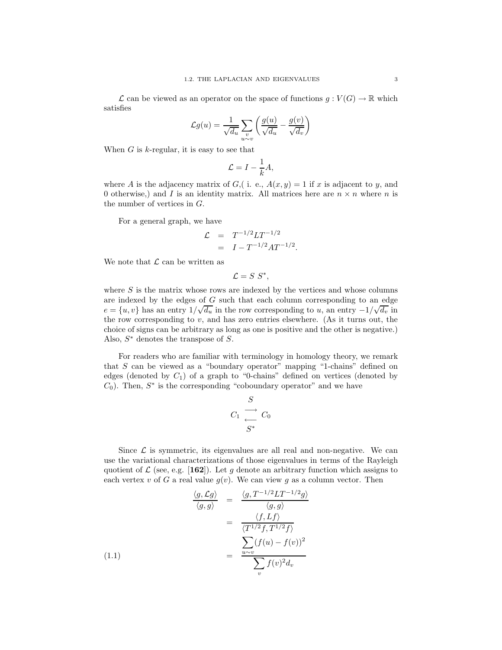$\mathcal L$  can be viewed as an operator on the space of functions  $g: V(G) \to \mathbb R$  which satisfies

$$
\mathcal{L}g(u) = \frac{1}{\sqrt{d_u}} \sum_{\substack{v \\ u \sim v}} \left( \frac{g(u)}{\sqrt{d_u}} - \frac{g(v)}{\sqrt{d_v}} \right)
$$

When  $G$  is  $k$ -regular, it is easy to see that

$$
\mathcal{L} = I - \frac{1}{k}A,
$$

where A is the adjacency matrix of G, (i. e.,  $A(x, y) = 1$  if x is adjacent to y, and 0 otherwise,) and I is an identity matrix. All matrices here are  $n \times n$  where n is the number of vertices in G.

For a general graph, we have

$$
\mathcal{L} = T^{-1/2}LT^{-1/2}
$$
  
=  $I - T^{-1/2}AT^{-1/2}$ .

We note that  $\mathcal L$  can be written as

$$
\mathcal{L}=S\;S^*,
$$

where  $S$  is the matrix whose rows are indexed by the vertices and whose columns are indexed by the edges of G such that each column corresponding to an edge are maexed by the eages of G such that each column corresponding to an eage  $e = \{u, v\}$  has an entry  $1/\sqrt{d_u}$  in the row corresponding to u, an entry  $-1/\sqrt{d_v}$  in the row corresponding to  $v$ , and has zero entries elsewhere. (As it turns out, the choice of signs can be arbitrary as long as one is positive and the other is negative.) Also,  $S^*$  denotes the transpose of  $S$ .

For readers who are familiar with terminology in homology theory, we remark that S can be viewed as a "boundary operator" mapping "1-chains" defined on edges (denoted by  $C_1$ ) of a graph to "0-chains" defined on vertices (denoted by  $C_0$ ). Then,  $S^*$  is the corresponding "coboundary operator" and we have

$$
C_1 \begin{array}{c} \stackrel{S}{\longrightarrow} \\ \stackrel{S^*}{\longrightarrow} \end{array} C_0
$$

 $\mathbf{C}$ 

Since  $\mathcal L$  is symmetric, its eigenvalues are all real and non-negative. We can use the variational characterizations of those eigenvalues in terms of the Rayleigh quotient of  $\mathcal{L}$  (see, e.g. [162]). Let g denote an arbitrary function which assigns to each vertex v of G a real value  $g(v)$ . We can view g as a column vector. Then

$$
\frac{\langle g, \mathcal{L}g \rangle}{\langle g, g \rangle} = \frac{\langle g, T^{-1/2}LT^{-1/2}g \rangle}{\langle g, g \rangle}
$$

$$
= \frac{\langle f, Lf \rangle}{\langle T^{1/2}f, T^{1/2}f \rangle}
$$

$$
= \frac{\sum_{u \sim v} (f(u) - f(v))^2}{\sum_{v} f(v)^2 d_v}
$$
(1.1)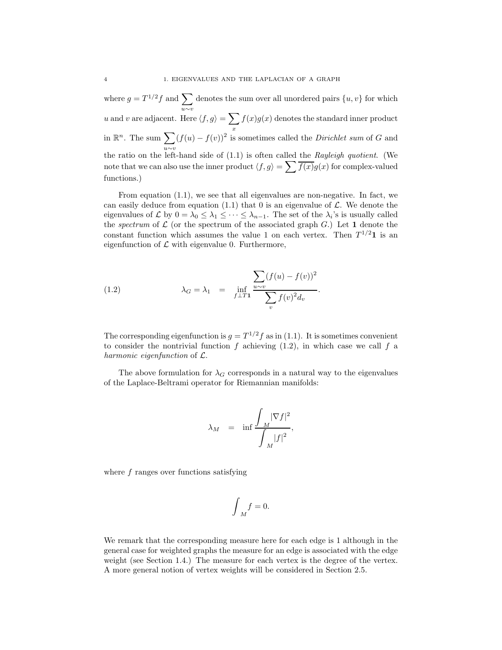where  $g = T^{1/2} f$  and  $\sum$  denotes the sum over all unordered pairs  $\{u, v\}$  for which u∼v u and v are adjacent. Here  $\langle f, g \rangle = \sum$ x  $f(x)g(x)$  denotes the standard inner product in  $\mathbb{R}^n$ . The sum  $\sum (f(u) - f(v))^2$  is sometimes called the *Dirichlet sum* of G and u∼v the ratio on the left-hand side of (1.1) is often called the *Rayleigh quotient*. (We note that we can also use the inner product  $\langle f,g \rangle = \sum \overline{f(x)}g(x)$  for complex-valued functions.)

From equation (1.1), we see that all eigenvalues are non-negative. In fact, we can easily deduce from equation (1.1) that 0 is an eigenvalue of  $\mathcal{L}$ . We denote the eigenvalues of  $\mathcal L$  by  $0 = \lambda_0 \leq \lambda_1 \leq \cdots \leq \lambda_{n-1}$ . The set of the  $\lambda_i$ 's is usually called the *spectrum* of  $\mathcal L$  (or the spectrum of the associated graph  $G$ .) Let 1 denote the constant function which assumes the value 1 on each vertex. Then  $T^{1/2}$ **1** is an eigenfunction of  $\mathcal L$  with eigenvalue 0. Furthermore,

(1.2) 
$$
\lambda_G = \lambda_1 = \inf_{f \perp T_1} \frac{\sum_{u \sim v} (f(u) - f(v))^2}{\sum_{v} f(v)^2 d_v}.
$$

The corresponding eigenfunction is  $q = T^{1/2}f$  as in (1.1). It is sometimes convenient to consider the nontrivial function  $f$  achieving  $(1.2)$ , in which case we call  $f$  a *harmonic eigenfunction* of L.

The above formulation for  $\lambda_G$  corresponds in a natural way to the eigenvalues of the Laplace-Beltrami operator for Riemannian manifolds:

$$
\lambda_M = \inf \frac{\int_M |\nabla f|^2}{\int_M |f|^2},
$$

where f ranges over functions satisfying

$$
\int_M f = 0.
$$

We remark that the corresponding measure here for each edge is 1 although in the general case for weighted graphs the measure for an edge is associated with the edge weight (see Section 1.4.) The measure for each vertex is the degree of the vertex. A more general notion of vertex weights will be considered in Section 2.5.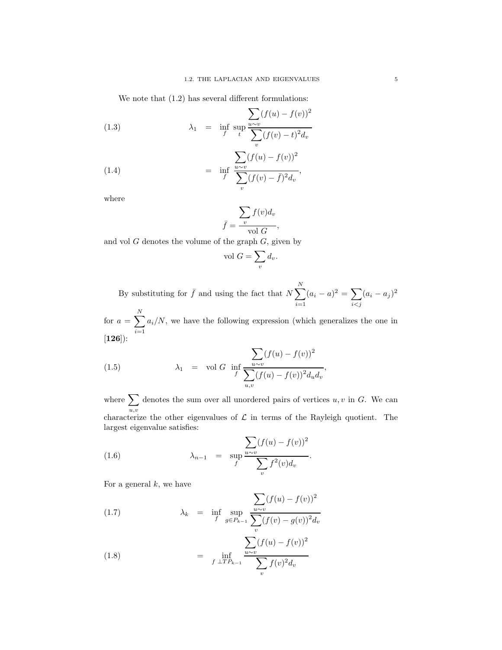We note that  $(1.2)$  has several different formulations:

(1.3) 
$$
\lambda_1 = \inf_{f} \sup_{t} \frac{\sum_{u \sim v} (f(u) - f(v))^2}{\sum_{v} (f(v) - t)^2 d_v}
$$

(1.4) 
$$
\qquad \qquad = \quad \inf_{f} \frac{\sum_{u \sim v} (f(u) - f(v))^2}{\sum_{v} (f(v) - \bar{f})^2 d_v},
$$

where

$$
\bar{f} = \frac{\sum_{v} f(v) d_v}{\text{vol } G},
$$

and vol  $G$  denotes the volume of the graph  $G$ , given by

$$
vol G = \sum_{v} d_v.
$$

By substituting for  $\bar{f}$  and using the fact that  $N \sum_{i=1}^{N}$  $\frac{i=1}{i}$  $(a_i - a)^2 = \sum$  $i$ < $j$  $(a_i - a_j)^2$ 

for  $a = \sum$ N  $\frac{i=1}{i}$  $a_i/N$ , we have the following expression (which generalizes the one in [**126**]):

(1.5) 
$$
\lambda_1 = \text{vol } G \text{ inf } \frac{\sum_{u \sim v} (f(u) - f(v))^2}{\sum_{u,v} (f(u) - f(v))^2 d_u d_v},
$$

where  $\sum$  $u, v$ denotes the sum over all unordered pairs of vertices  $u, v$  in  $G$ . We can characterize the other eigenvalues of  $\mathcal L$  in terms of the Rayleigh quotient. The largest eigenvalue satisfies:

(1.6) 
$$
\lambda_{n-1} = \sup_{f} \frac{\sum_{u \sim v} (f(u) - f(v))^2}{\sum_{v} f^2(v) d_v}.
$$

For a general  $k$ , we have

(1.7) 
$$
\lambda_k = \inf_{f} \sup_{g \in P_{k-1}} \frac{\sum_{u \sim v} (f(u) - f(v))^2}{\sum_{v} (f(v) - g(v))^2 d_v}
$$

(1.8) 
$$
= \inf_{f \perp TP_{k-1}} \frac{\sum_{u \sim v} (f(u) - f(v))^2}{\sum_{v} f(v)^2 d_v}
$$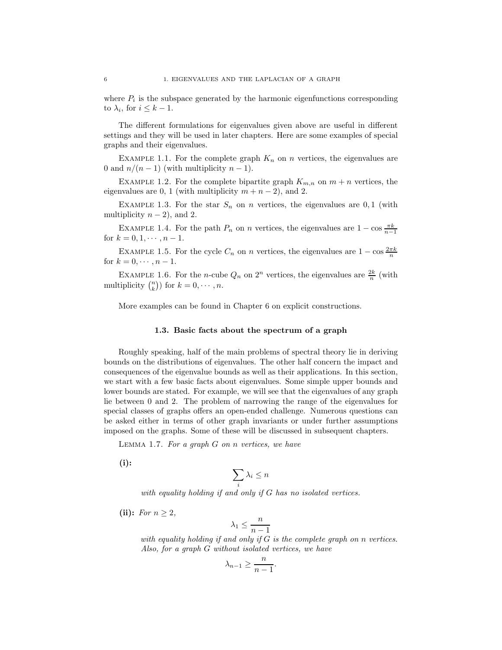where  $P_i$  is the subspace generated by the harmonic eigenfunctions corresponding to  $\lambda_i$ , for  $i \leq k-1$ .

The different formulations for eigenvalues given above are useful in different settings and they will be used in later chapters. Here are some examples of special graphs and their eigenvalues.

EXAMPLE 1.1. For the complete graph  $K_n$  on n vertices, the eigenvalues are 0 and  $n/(n-1)$  (with multiplicity  $n-1$ ).

EXAMPLE 1.2. For the complete bipartite graph  $K_{m,n}$  on  $m + n$  vertices, the eigenvalues are 0, 1 (with multiplicity  $m + n - 2$ ), and 2.

EXAMPLE 1.3. For the star  $S_n$  on n vertices, the eigenvalues are 0,1 (with multiplicity  $n - 2$ ), and 2.

EXAMPLE 1.4. For the path  $P_n$  on *n* vertices, the eigenvalues are  $1 - \cos \frac{\pi k}{n-1}$ for  $k = 0, 1, \dots, n - 1$ .

EXAMPLE 1.5. For the cycle  $C_n$  on n vertices, the eigenvalues are  $1 - \cos \frac{2\pi k}{n}$ for  $k = 0, \dots, n - 1$ .

EXAMPLE 1.6. For the *n*-cube  $Q_n$  on  $2^n$  vertices, the eigenvalues are  $\frac{2k}{n}$  (with multiplicity  $\binom{n}{k}$  for  $k = 0, \dots, n$ .

More examples can be found in Chapter 6 on explicit constructions.

#### **1.3. Basic facts about the spectrum of a graph**

Roughly speaking, half of the main problems of spectral theory lie in deriving bounds on the distributions of eigenvalues. The other half concern the impact and consequences of the eigenvalue bounds as well as their applications. In this section, we start with a few basic facts about eigenvalues. Some simple upper bounds and lower bounds are stated. For example, we will see that the eigenvalues of any graph lie between 0 and 2. The problem of narrowing the range of the eigenvalues for special classes of graphs offers an open-ended challenge. Numerous questions can be asked either in terms of other graph invariants or under further assumptions imposed on the graphs. Some of these will be discussed in subsequent chapters.

Lemma 1.7. *For a graph* G *on* n *vertices, we have*

**(i):**

$$
\sum_i \lambda_i \leq n
$$

*with equality holding if and only if* G *has no isolated vertices.*

**(ii):** *For*  $n \geq 2$ *,* 

$$
\lambda_1 \le \frac{n}{n-1}
$$

*with equality holding if and only if* G *is the complete graph on* n *vertices. Also, for a graph* G *without isolated vertices, we have*

$$
\lambda_{n-1} \ge \frac{n}{n-1}.
$$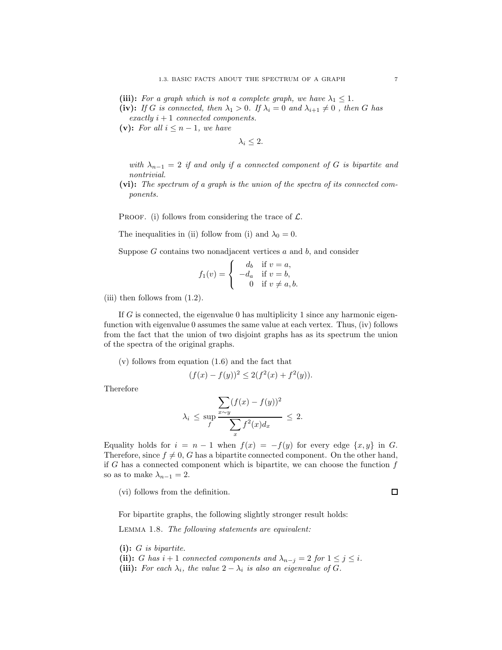(iii): *For a graph which is not a complete graph, we have*  $\lambda_1 \leq 1$ *.* 

- (iv): *If* G *is connected, then*  $\lambda_1 > 0$ *. If*  $\lambda_i = 0$  *and*  $\lambda_{i+1} \neq 0$ *, then* G *has exactly* i + 1 *connected components.*
- (v): For all  $i \leq n-1$ , we have

 $\lambda_i \leq 2$ .

*with*  $\lambda_{n-1} = 2$  *if and only if a connected component of* G *is bipartite and nontrivial.*

**(vi):** *The spectrum of a graph is the union of the spectra of its connected components.*

PROOF. (i) follows from considering the trace of  $\mathcal{L}$ .

The inequalities in (ii) follow from (i) and  $\lambda_0 = 0$ .

Suppose  $G$  contains two nonadjacent vertices  $a$  and  $b$ , and consider

$$
f_1(v) = \begin{cases} d_b & \text{if } v = a, \\ -d_a & \text{if } v = b, \\ 0 & \text{if } v \neq a, b. \end{cases}
$$

(iii) then follows from (1.2).

If  $G$  is connected, the eigenvalue 0 has multiplicity 1 since any harmonic eigenfunction with eigenvalue 0 assumes the same value at each vertex. Thus, (iv) follows from the fact that the union of two disjoint graphs has as its spectrum the union of the spectra of the original graphs.

(v) follows from equation (1.6) and the fact that

$$
(f(x) - f(y))^{2} \le 2(f^{2}(x) + f^{2}(y)).
$$

Therefore

$$
\lambda_i \le \sup_f \frac{\sum_{x \sim y} (f(x) - f(y))^2}{\sum_x f^2(x) d_x} \le 2.
$$

Equality holds for  $i = n - 1$  when  $f(x) = -f(y)$  for every edge  $\{x, y\}$  in G. Therefore, since  $f \neq 0$ , G has a bipartite connected component. On the other hand, if G has a connected component which is bipartite, we can choose the function  $f$ so as to make  $\lambda_{n-1} = 2$ .

(vi) follows from the definition.

 $\Box$ 

For bipartite graphs, the following slightly stronger result holds:

Lemma 1.8. *The following statements are equivalent:*

**(i):** G *is bipartite.*

(ii): G has  $i + 1$  connected components and  $\lambda_{n-j} = 2$  for  $1 \leq j \leq i$ . (iii): *For each*  $\lambda_i$ *, the value*  $2 - \lambda_i$  *is also an eigenvalue of G.*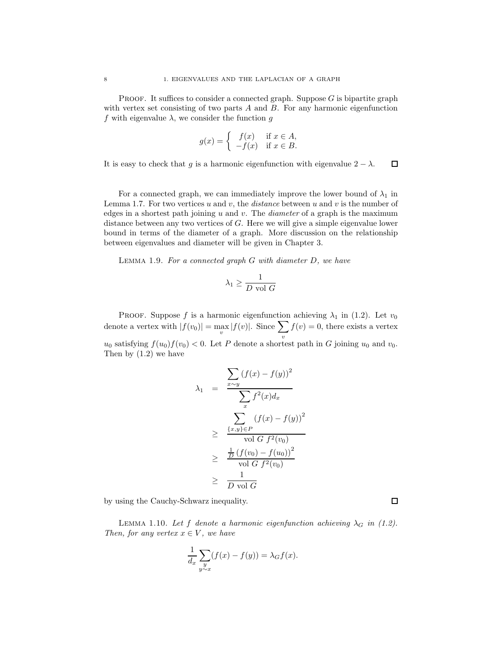PROOF. It suffices to consider a connected graph. Suppose  $G$  is bipartite graph with vertex set consisting of two parts  $A$  and  $B$ . For any harmonic eigenfunction f with eigenvalue  $\lambda$ , we consider the function g

$$
g(x) = \begin{cases} f(x) & \text{if } x \in A, \\ -f(x) & \text{if } x \in B. \end{cases}
$$

It is easy to check that q is a harmonic eigenfunction with eigenvalue  $2 - \lambda$ .  $\Box$ 

For a connected graph, we can immediately improve the lower bound of  $\lambda_1$  in Lemma 1.7. For two vertices u and v, the  $distance$  between u and v is the number of edges in a shortest path joining u and v. The *diameter* of a graph is the maximum distance between any two vertices of G. Here we will give a simple eigenvalue lower bound in terms of the diameter of a graph. More discussion on the relationship between eigenvalues and diameter will be given in Chapter 3.

Lemma 1.9. *For a connected graph* G *with diameter* D*, we have*

$$
\lambda_1 \geq \frac{1}{D \text{ vol } G}
$$

PROOF. Suppose f is a harmonic eigenfunction achieving  $\lambda_1$  in (1.2). Let  $v_0$ denote a vertex with  $|f(v_0)| = \max_v |f(v)|$ . Since  $\sum_v$  $f(v) = 0$ , there exists a vertex  $u_0$  satisfying  $f(u_0)f(v_0) < 0$ . Let P denote a shortest path in G joining  $u_0$  and  $v_0$ . Then by (1.2) we have

$$
\lambda_1 = \frac{\sum_{x \sim y} (f(x) - f(y))^2}{\sum_x f^2(x) dx}
$$

$$
\geq \frac{\sum_{\{x,y\} \in P} (f(x) - f(y))^2}{\text{vol } G f^2(v_0)}
$$

$$
\geq \frac{\frac{1}{D} (f(v_0) - f(u_0))^2}{\text{vol } G f^2(v_0)}
$$

$$
\geq \frac{1}{D \text{ vol } G}
$$

by using the Cauchy-Schwarz inequality.

LEMMA 1.10. Let f denote a harmonic eigenfunction achieving  $\lambda_G$  in (1.2). *Then, for any vertex*  $x \in V$ *, we have* 

$$
\frac{1}{d_x} \sum_{\substack{y \\ y \sim x}} (f(x) - f(y)) = \lambda_G f(x).
$$

 $\Box$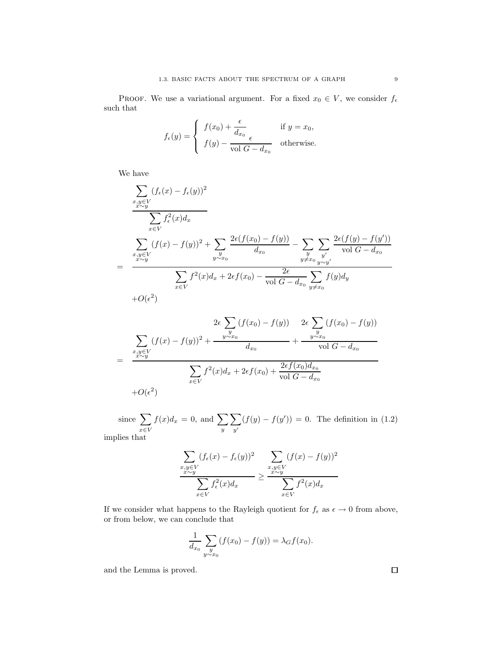PROOF. We use a variational argument. For a fixed  $x_0 \in V$ , we consider  $f_{\epsilon}$ such that

$$
f_{\epsilon}(y) = \begin{cases} f(x_0) + \frac{\epsilon}{d_{x_0}} & \text{if } y = x_0, \\ f(y) - \frac{\epsilon}{\text{vol } G - d_{x_0}} & \text{otherwise.} \end{cases}
$$

We have

$$
\sum_{\substack{x,y \in V \\ x \sim y}} (f_{\epsilon}(x) - f_{\epsilon}(y))^2
$$
\n
$$
\sum_{x \in V} f_{\epsilon}^2(x) d_x
$$
\n
$$
\sum_{\substack{x,y \in V \\ x \sim y}} (f(x) - f(y))^2 + \sum_{\substack{y \\ y \sim x_0}} \frac{2\epsilon(f(x_0) - f(y))}{d_{x_0}} - \sum_{\substack{y \\ y \neq x_0}} \sum_{\substack{y' \\ y \sim y' \\ y \sim y'}} \frac{2\epsilon(f(y) - f(y'))}{\sqrt{C - d_{x_0}}}
$$
\n
$$
+O(\epsilon^2)
$$

$$
2\epsilon \sum_{y} (f(x_0) - f(y)) \quad 2\epsilon \sum_{y} (f(x_0) - f(y))
$$
  
= 
$$
\frac{\sum_{x,y \in V} (f(x) - f(y))^2 + \frac{y \sim x_0}{d_{x_0}}}{\sum_{x \in V} f^2(x) d_x + 2\epsilon f(x_0) + \frac{2\epsilon f(x_0) d_{x_0}}{\text{vol } G - d_{x_0}}}
$$
  
+*O*( $\epsilon^2$ )

since  $\sum$ x∈V  $f(x)d_x = 0$ , and  $\sum$  $\overline{y}$  $\sum$  $y'$  $(f(y) - f(y')) = 0$ . The definition in (1.2)

implies that

$$
\frac{\sum_{\substack{x,y \in V \\ x \sim y}} (f_{\epsilon}(x) - f_{\epsilon}(y))^2}{\sum_{x \in V} f_{\epsilon}^2(x) d_x} \ge \frac{\sum_{\substack{x,y \in V \\ x \sim y}} (f(x) - f(y))^2}{\sum_{x \in V} f^2(x) d_x}
$$

If we consider what happens to the Rayleigh quotient for  $f_\epsilon$  as  $\epsilon\to 0$  from above, or from below, we can conclude that

$$
\frac{1}{d_{x_0}} \sum_{\substack{y \\ y \sim x_0}} (f(x_0) - f(y)) = \lambda_G f(x_0).
$$

and the Lemma is proved.

 $\Box$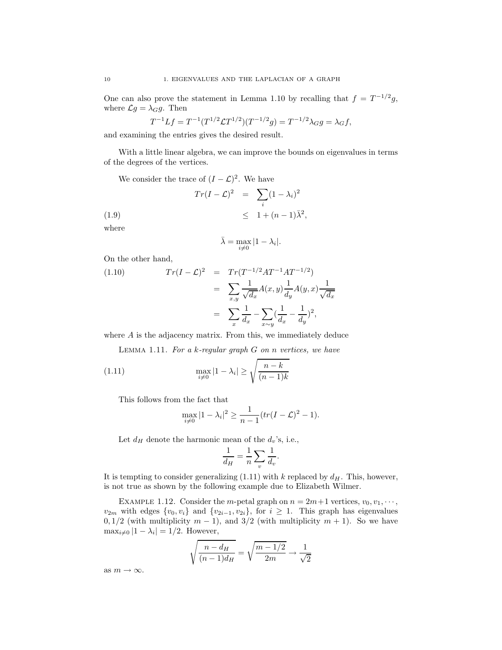One can also prove the statement in Lemma 1.10 by recalling that  $f = T^{-1/2}g$ , where  $\mathcal{L}g = \lambda_G g$ . Then

$$
T^{-1}Lf = T^{-1}(T^{1/2}\mathcal{L}T^{1/2})(T^{-1/2}g) = T^{-1/2}\lambda_G g = \lambda_G f,
$$

and examining the entries gives the desired result.

With a little linear algebra, we can improve the bounds on eigenvalues in terms of the degrees of the vertices.

We consider the trace of  $(I - \mathcal{L})^2$ . We have

$$
Tr(I - \mathcal{L})^2 = \sum_{i} (1 - \lambda_i)^2
$$
  
(1.9)  

$$
\leq 1 + (n - 1)\bar{\lambda}^2,
$$
  
where

$$
\bar{\lambda} = \max_{i \neq 0} |1 - \lambda_i|.
$$

On the other hand,

(1.10) 
$$
Tr(I - \mathcal{L})^2 = Tr(T^{-1/2}AT^{-1}AT^{-1/2})
$$

$$
= \sum_{x,y} \frac{1}{\sqrt{d_x}} A(x,y) \frac{1}{d_y} A(y,x) \frac{1}{\sqrt{d_x}}
$$

$$
= \sum_x \frac{1}{d_x} - \sum_{x \sim y} (\frac{1}{d_x} - \frac{1}{d_y})^2,
$$

where A is the adjacency matrix. From this, we immediately deduce

Lemma 1.11. *For a* k*-regular graph* G *on* n *vertices, we have*

(1.11) 
$$
\max_{i \neq 0} |1 - \lambda_i| \ge \sqrt{\frac{n-k}{(n-1)k}}
$$

This follows from the fact that

$$
\max_{i \neq 0} |1 - \lambda_i|^2 \ge \frac{1}{n-1} (tr(I - \mathcal{L})^2 - 1).
$$

Let  $d_H$  denote the harmonic mean of the  $d_v$ 's, i.e.,

$$
\frac{1}{d_H} = \frac{1}{n} \sum_v \frac{1}{d_v}.
$$

It is tempting to consider generalizing  $(1.11)$  with k replaced by  $d_H$ . This, however, is not true as shown by the following example due to Elizabeth Wilmer.

EXAMPLE 1.12. Consider the m-petal graph on  $n = 2m+1$  vertices,  $v_0, v_1, \dots$ ,  $v_{2m}$  with edges  $\{v_0, v_i\}$  and  $\{v_{2i-1}, v_{2i}\}\$ , for  $i \geq 1$ . This graph has eigenvalues  $0, 1/2$  (with multiplicity  $m-1$ ), and  $3/2$  (with multiplicity  $m+1$ ). So we have  $\max_{i\neq 0}$   $|1 - \lambda_i| = 1/2$ . However,

$$
\sqrt{\frac{n-d_H}{(n-1)d_H}} = \sqrt{\frac{m-1/2}{2m}} \to \frac{1}{\sqrt{2}}
$$

as  $m \to \infty$ .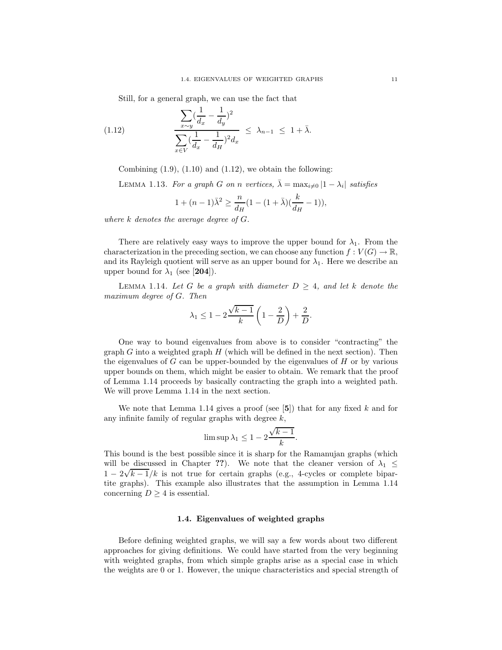Still, for a general graph, we can use the fact that

(1.12) 
$$
\frac{\sum_{x \sim y} (\frac{1}{d_x} - \frac{1}{d_y})^2}{\sum_{x \in V} (\frac{1}{d_x} - \frac{1}{d_H})^2 d_x} \leq \lambda_{n-1} \leq 1 + \bar{\lambda}.
$$

Combining  $(1.9)$ ,  $(1.10)$  and  $(1.12)$ , we obtain the following:

LEMMA 1.13. For a graph G on n vertices,  $\bar{\lambda} = \max_{i \neq 0} |1 - \lambda_i|$  satisfies

$$
1 + (n - 1)\bar{\lambda}^{2} \ge \frac{n}{d_{H}}(1 - (1 + \bar{\lambda})(\frac{k}{d_{H}} - 1)),
$$

*where* k *denotes the average degree of* G*.*

There are relatively easy ways to improve the upper bound for  $\lambda_1$ . From the characterization in the preceding section, we can choose any function  $f: V(G) \to \mathbb{R}$ , and its Rayleigh quotient will serve as an upper bound for  $\lambda_1$ . Here we describe an upper bound for  $\lambda_1$  (see [**204**]).

LEMMA 1.14. Let G be a graph with diameter  $D \geq 4$ , and let k denote the *maximum degree of* G*. Then*

$$
\lambda_1 \le 1 - 2\frac{\sqrt{k-1}}{k} \left(1 - \frac{2}{D}\right) + \frac{2}{D}.
$$

One way to bound eigenvalues from above is to consider "contracting" the graph  $G$  into a weighted graph  $H$  (which will be defined in the next section). Then the eigenvalues of  $G$  can be upper-bounded by the eigenvalues of  $H$  or by various upper bounds on them, which might be easier to obtain. We remark that the proof of Lemma 1.14 proceeds by basically contracting the graph into a weighted path. We will prove Lemma 1.14 in the next section.

We note that Lemma 1.14 gives a proof (see [**5**]) that for any fixed k and for any infinite family of regular graphs with degree  $k$ ,

$$
\limsup \lambda_1 \leq 1 - 2 \frac{\sqrt{k-1}}{k}.
$$

This bound is the best possible since it is sharp for the Ramanujan graphs (which will be discussed in Chapter ??). We note that the cleaner version of  $\lambda_1 \leq$ will be discussed in Chapter ::). We note that the cleaner version of  $\lambda_1 \leq 1 - 2\sqrt{k-1}/k$  is not true for certain graphs (e.g., 4-cycles or complete bipartite graphs). This example also illustrates that the assumption in Lemma 1.14 concerning  $D \geq 4$  is essential.

#### **1.4. Eigenvalues of weighted graphs**

Before defining weighted graphs, we will say a few words about two different approaches for giving definitions. We could have started from the very beginning with weighted graphs, from which simple graphs arise as a special case in which the weights are 0 or 1. However, the unique characteristics and special strength of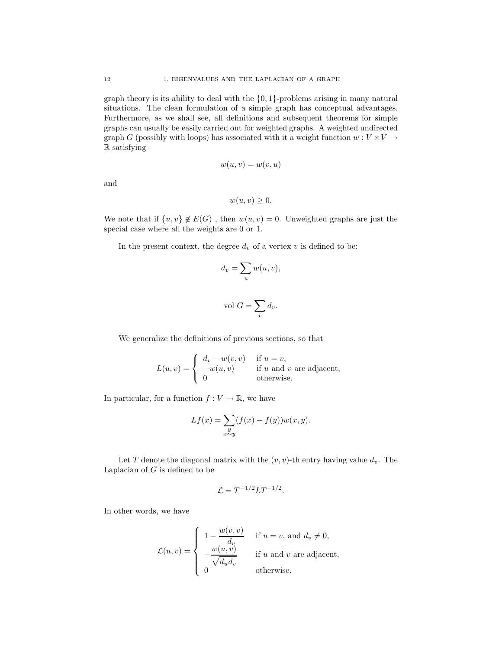graph theory is its ability to deal with the  $\{0,1\}$ -problems arising in many natural situations. The clean formulation of a simple graph has conceptual advantages. Furthermore, as we shall see, all definitions and subsequent theorems for simple graphs can usually be easily carried out for weighted graphs. A weighted undirected graph G (possibly with loops) has associated with it a weight function  $w: V \times V \rightarrow$ R satisfying

$$
w(u, v) = w(v, u)
$$

and

$$
w(u, v) \geq 0.
$$

We note that if  $\{u, v\} \notin E(G)$ , then  $w(u, v) = 0$ . Unweighted graphs are just the special case where all the weights are 0 or 1.

In the present context, the degree  $d_v$  of a vertex  $v$  is defined to be:

$$
d_v = \sum_u w(u, v),
$$
  
vol 
$$
G = \sum d_v.
$$

v

We generalize the definitions of previous sections, so that

$$
L(u, v) = \begin{cases} d_v - w(v, v) & \text{if } u = v, \\ -w(u, v) & \text{if } u \text{ and } v \text{ are adjacent,} \\ 0 & \text{otherwise.} \end{cases}
$$

In particular, for a function  $f: V \to \mathbb{R}$ , we have

$$
Lf(x) = \sum_{\substack{y \\ x \sim y}} (f(x) - f(y))w(x, y).
$$

Let T denote the diagonal matrix with the  $(v, v)$ -th entry having value  $d_v$ . The Laplacian of  $G$  is defined to be

$$
\mathcal{L} = T^{-1/2}LT^{-1/2}.
$$

In other words, we have

$$
\mathcal{L}(u,v) = \begin{cases}\n1 - \frac{w(v,v)}{d_v} & \text{if } u = v, \text{ and } d_v \neq 0, \\
-\frac{w(u,v)}{\sqrt{d_u d_v}} & \text{if } u \text{ and } v \text{ are adjacent,} \\
0 & \text{otherwise.} \n\end{cases}
$$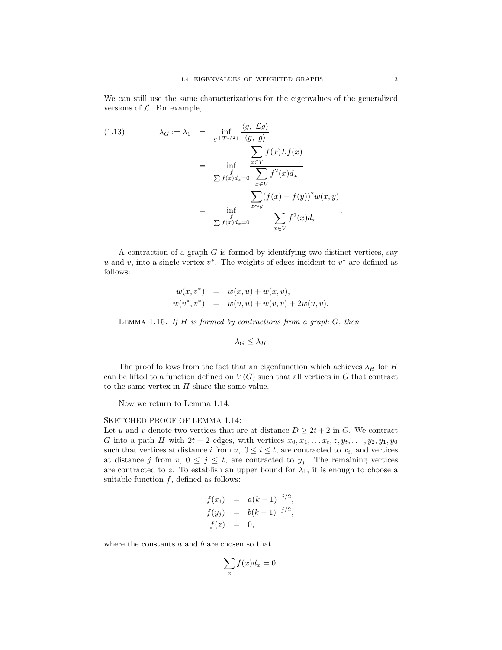We can still use the same characterizations for the eigenvalues of the generalized versions of  $\mathcal{L}$ . For example,

(1.13) 
$$
\lambda_G := \lambda_1 = \inf_{g \perp T^{1/2} \to 1} \frac{\langle g, \mathcal{L}g \rangle}{\langle g, g \rangle}
$$

$$
= \inf_{\substack{f \subset \mathcal{L}f(x)dx = 0}} \frac{\sum_{x \in V} f(x)Lf(x)}{\sum_{x \in V} f^2(x)dx}
$$

$$
= \inf_{\substack{f \subset \mathcal{L}f(x)dx = 0}} \frac{\sum_{x \sim y} (f(x) - f(y))^2 w(x, y)}{\sum_{x \in V} f^2(x)dx}.
$$

A contraction of a graph  $G$  is formed by identifying two distinct vertices, say u and v, into a single vertex  $v^*$ . The weights of edges incident to  $v^*$  are defined as follows:

$$
w(x, v^*) = w(x, u) + w(x, v),
$$
  
\n
$$
w(v^*, v^*) = w(u, u) + w(v, v) + 2w(u, v).
$$

Lemma 1.15. *If* H *is formed by contractions from a graph* G*, then*

$$
\lambda_G \leq \lambda_H
$$

The proof follows from the fact that an eigenfunction which achieves  $\lambda_H$  for H can be lifted to a function defined on  $V(G)$  such that all vertices in G that contract to the same vertex in  $H$  share the same value.

Now we return to Lemma 1.14.

#### SKETCHED PROOF OF LEMMA 1.14:

Let u and v denote two vertices that are at distance  $D \geq 2t + 2$  in G. We contract G into a path H with  $2t + 2$  edges, with vertices  $x_0, x_1, \ldots, x_t, z, y_t, \ldots, y_2, y_1, y_0$ such that vertices at distance i from  $u, 0 \le i \le t$ , are contracted to  $x_i$ , and vertices at distance j from  $v, 0 \leq j \leq t$ , are contracted to  $y_j$ . The remaining vertices are contracted to z. To establish an upper bound for  $\lambda_1$ , it is enough to choose a suitable function  $f$ , defined as follows:

$$
f(x_i) = a(k-1)^{-i/2},
$$
  
\n
$$
f(y_j) = b(k-1)^{-j/2},
$$
  
\n
$$
f(z) = 0,
$$

where the constants  $a$  and  $b$  are chosen so that

$$
\sum_{x} f(x) dx = 0.
$$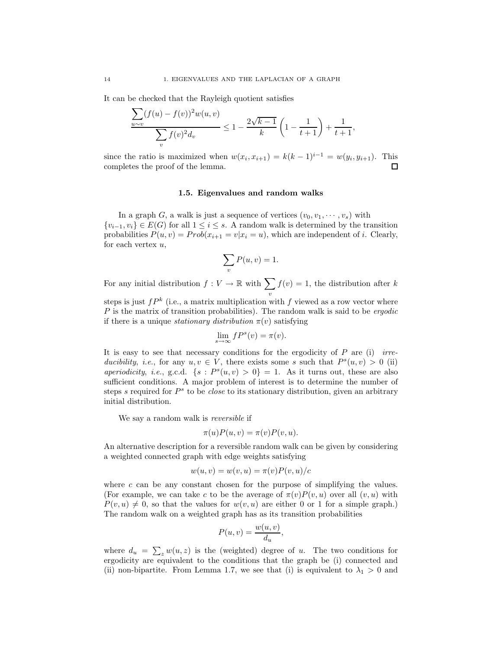It can be checked that the Rayleigh quotient satisfies

$$
\frac{\sum_{u \sim v} (f(u) - f(v))^2 w(u, v)}{\sum_{v} f(v)^2 d_v} \le 1 - \frac{2\sqrt{k-1}}{k} \left( 1 - \frac{1}{t+1} \right) + \frac{1}{t+1},
$$

since the ratio is maximized when  $w(x_i, x_{i+1}) = k(k-1)^{i-1} = w(y_i, y_{i+1})$ . This completes the proof of the lemma. completes the proof of the lemma.

#### **1.5. Eigenvalues and random walks**

In a graph G, a walk is just a sequence of vertices  $(v_0, v_1, \dots, v_s)$  with  $\{v_{i-1}, v_i\} \in E(G)$  for all  $1 \leq i \leq s$ . A random walk is determined by the transition probabilities  $P(u, v) = Prob(x_{i+1} = v | x_i = u)$ , which are independent of *i*. Clearly, for each vertex  $u$ ,

$$
\sum_{v} P(u, v) = 1.
$$

For any initial distribution  $f: V \to \mathbb{R}$  with  $\sum$ v  $f(v) = 1$ , the distribution after k

steps is just  $fP^k$  (i.e., a matrix multiplication with f viewed as a row vector where P is the matrix of transition probabilities). The random walk is said to be *ergodic* if there is a unique *stationary distribution*  $\pi(v)$  satisfying

$$
\lim_{s \to \infty} f P^s(v) = \pi(v).
$$

It is easy to see that necessary conditions for the ergodicity of P are (i) *irreducibility*, *i.e.*, for any  $u, v \in V$ , there exists some s such that  $P<sup>s</sup>(u, v) > 0$  (ii) *aperiodicity*, *i.e.*, g.c.d.  $\{s : P^s(u, v) > 0\} = 1$ . As it turns out, these are also sufficient conditions. A major problem of interest is to determine the number of steps s required for  $P^s$  to be *close* to its stationary distribution, given an arbitrary initial distribution.

We say a random walk is *reversible* if

$$
\pi(u)P(u,v) = \pi(v)P(v,u).
$$

An alternative description for a reversible random walk can be given by considering a weighted connected graph with edge weights satisfying

$$
w(u, v) = w(v, u) = \pi(v)P(v, u)/c
$$

where  $c$  can be any constant chosen for the purpose of simplifying the values. (For example, we can take c to be the average of  $\pi(v)P(v, u)$  over all  $(v, u)$  with  $P(v, u) \neq 0$ , so that the values for  $w(v, u)$  are either 0 or 1 for a simple graph.) The random walk on a weighted graph has as its transition probabilities

$$
P(u, v) = \frac{w(u, v)}{d_u},
$$

where  $d_u = \sum_z w(u, z)$  is the (weighted) degree of u. The two conditions for ergodicity are equivalent to the conditions that the graph be (i) connected and (ii) non-bipartite. From Lemma 1.7, we see that (i) is equivalent to  $\lambda_1 > 0$  and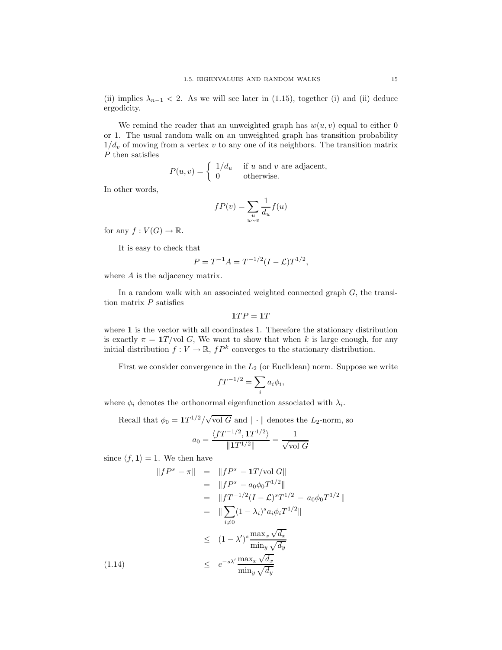(ii) implies  $\lambda_{n-1}$  < 2. As we will see later in (1.15), together (i) and (ii) deduce ergodicity.

We remind the reader that an unweighted graph has  $w(u, v)$  equal to either 0 or 1. The usual random walk on an unweighted graph has transition probability  $1/d_v$  of moving from a vertex v to any one of its neighbors. The transition matrix  $\boldsymbol{P}$  then satisfies

$$
P(u, v) = \begin{cases} 1/d_u & \text{if } u \text{ and } v \text{ are adjacent,} \\ 0 & \text{otherwise.} \end{cases}
$$

In other words,

$$
fP(v) = \sum_{\substack{u\\u \sim v}} \frac{1}{d_u} f(u)
$$

for any  $f: V(G) \to \mathbb{R}$ .

It is easy to check that

$$
P = T^{-1}A = T^{-1/2}(I - \mathcal{L})T^{1/2},
$$

where A is the adjacency matrix.

In a random walk with an associated weighted connected graph  $G$ , the transition matrix  $P$  satisfies

$$
1TP=1T
$$

where 1 is the vector with all coordinates 1. Therefore the stationary distribution is exactly  $\pi = 1T / \text{vol } G$ , We want to show that when k is large enough, for any initial distribution  $f: V \to \mathbb{R}$ ,  $fP^k$  converges to the stationary distribution.

First we consider convergence in the  $L_2$  (or Euclidean) norm. Suppose we write

$$
f T^{-1/2} = \sum_i a_i \phi_i,
$$

where  $\phi_i$  denotes the orthonormal eigenfunction associated with  $\lambda_i$ .

Recall that  $\phi_0 = \frac{1}{T^{1/2}} / \sqrt{\frac{1}{T}}$ vol G and  $\|\cdot\|$  denotes the  $L_2$ -norm, so

$$
a_0 = \frac{\langle fT^{-1/2}, \mathbf{1}T^{1/2} \rangle}{\|\mathbf{1}T^{1/2}\|} = \frac{1}{\sqrt{\text{vol } G}}
$$

since  $\langle f, \mathbf{1} \rangle = 1$ . We then have

$$
||fP^s - \pi|| = ||fP^s - 1T/\text{vol } G||
$$
  
\n
$$
= ||fP^s - a_0\phi_0T^{1/2}||
$$
  
\n
$$
= ||fT^{-1/2}(I - \mathcal{L})^s T^{1/2} - a_0\phi_0T^{1/2}||
$$
  
\n
$$
= ||\sum_{i\neq 0} (1 - \lambda_i)^s a_i\phi_i T^{1/2}||
$$
  
\n
$$
\leq (1 - \lambda')^s \frac{\max_x \sqrt{d_x}}{\min_y \sqrt{d_y}}
$$
  
\n(1.14)  
\n
$$
\leq e^{-s\lambda'} \frac{\max_x \sqrt{d_x}}{\min_y \sqrt{d_y}}
$$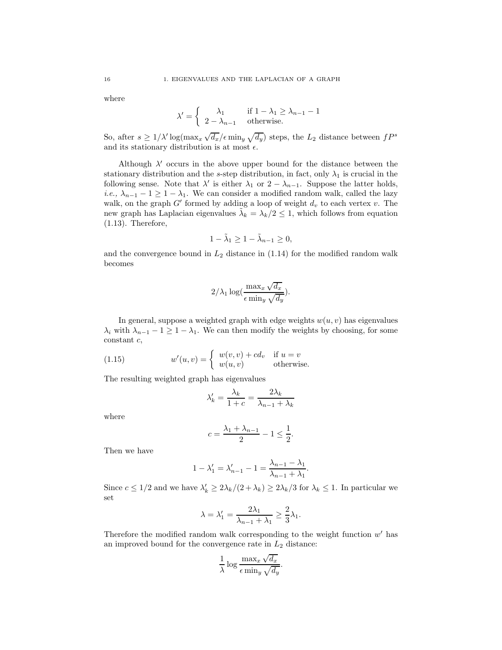where

$$
\lambda' = \begin{cases} \lambda_1 & \text{if } 1 - \lambda_1 \ge \lambda_{n-1} - 1 \\ 2 - \lambda_{n-1} & \text{otherwise.} \end{cases}
$$

So, after  $s \geq 1/\lambda' \log(\max_x \sqrt{d_x}/\epsilon \min_y \sqrt{d_y})$  steps, the  $L_2$  distance between  $fP^s$ and its stationary distribution is at most  $\epsilon$ .

Although  $\lambda'$  occurs in the above upper bound for the distance between the stationary distribution and the s-step distribution, in fact, only  $\lambda_1$  is crucial in the following sense. Note that  $\lambda'$  is either  $\lambda_1$  or  $2 - \lambda_{n-1}$ . Suppose the latter holds, *i.e.,*  $\lambda_{n-1} - 1 \geq 1 - \lambda_1$ . We can consider a modified random walk, called the lazy walk, on the graph  $G'$  formed by adding a loop of weight  $d_v$  to each vertex v. The new graph has Laplacian eigenvalues  $\tilde{\lambda}_k = \lambda_k/2 \leq 1$ , which follows from equation (1.13). Therefore,

$$
1 - \tilde{\lambda}_1 \ge 1 - \tilde{\lambda}_{n-1} \ge 0,
$$

and the convergence bound in  $L_2$  distance in  $(1.14)$  for the modified random walk becomes

$$
2/\lambda_1 \log(\frac{\max_x \sqrt{d_x}}{\epsilon \min_y \sqrt{d_y}}).
$$

In general, suppose a weighted graph with edge weights  $w(u, v)$  has eigenvalues  $\lambda_i$  with  $\lambda_{n-1} - 1 \geq 1 - \lambda_1$ . We can then modify the weights by choosing, for some constant c,

(1.15) 
$$
w'(u,v) = \begin{cases} w(v,v) + cd_v & \text{if } u = v \\ w(u,v) & \text{otherwise.} \end{cases}
$$

The resulting weighted graph has eigenvalues

$$
\lambda_k' = \frac{\lambda_k}{1+c} = \frac{2\lambda_k}{\lambda_{n-1} + \lambda_k}
$$

where

$$
c = \frac{\lambda_1 + \lambda_{n-1}}{2} - 1 \le \frac{1}{2}.
$$

Then we have

$$
1 - \lambda'_1 = \lambda'_{n-1} - 1 = \frac{\lambda_{n-1} - \lambda_1}{\lambda_{n-1} + \lambda_1}.
$$

Since  $c \leq 1/2$  and we have  $\lambda'_k \geq 2\lambda_k/(2+\lambda_k) \geq 2\lambda_k/3$  for  $\lambda_k \leq 1$ . In particular we set

$$
\lambda = \lambda'_1 = \frac{2\lambda_1}{\lambda_{n-1} + \lambda_1} \ge \frac{2}{3}\lambda_1.
$$

Therefore the modified random walk corresponding to the weight function  $w'$  has an improved bound for the convergence rate in  $L_2$  distance:

$$
\frac{1}{\lambda} \log \frac{\max_x \sqrt{d_x}}{\epsilon \min_y \sqrt{d_y}}.
$$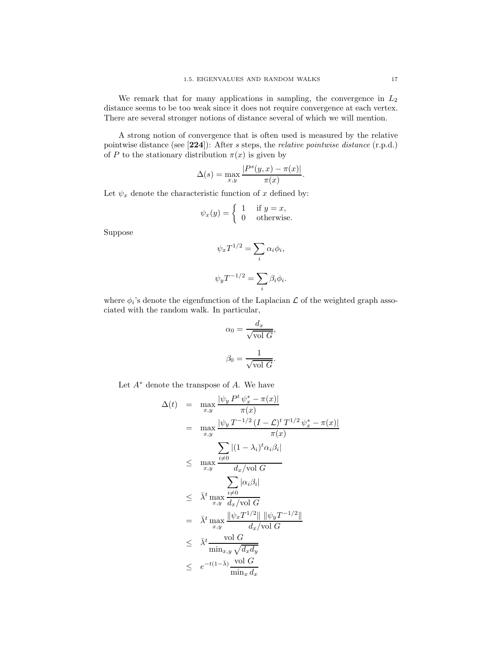We remark that for many applications in sampling, the convergence in  $L_2$ distance seems to be too weak since it does not require convergence at each vertex. There are several stronger notions of distance several of which we will mention.

A strong notion of convergence that is often used is measured by the relative pointwise distance (see [**224**]): After s steps, the *relative pointwise distance* (r.p.d.) of P to the stationary distribution  $\pi(x)$  is given by

$$
\Delta(s) = \max_{x,y} \frac{|P^s(y,x) - \pi(x)|}{\pi(x)}.
$$

Let  $\psi_x$  denote the characteristic function of x defined by:

$$
\psi_x(y) = \begin{cases} 1 & \text{if } y = x, \\ 0 & \text{otherwise.} \end{cases}
$$

Suppose

$$
\psi_x T^{1/2} = \sum_i \alpha_i \phi_i,
$$
  

$$
\psi_y T^{-1/2} = \sum_i \beta_i \phi_i.
$$

where  $\phi_i$ 's denote the eigenfunction of the Laplacian  $\mathcal L$  of the weighted graph associated with the random walk. In particular,

$$
\alpha_0 = \frac{d_x}{\sqrt{\text{vol } G}},
$$

$$
\beta_0 = \frac{1}{\sqrt{\text{vol } G}}.
$$

Let  $A^*$  denote the transpose of  $A$ . We have

$$
\Delta(t) = \max_{x,y} \frac{|\psi_y P^t \psi_x^* - \pi(x)|}{\pi(x)}
$$
\n
$$
= \max_{x,y} \frac{|\psi_y T^{-1/2} (I - \mathcal{L})^t T^{1/2} \psi_x^* - \pi(x)|}{\pi(x)}
$$
\n
$$
\leq \max_{x,y} \frac{\sum_{i \neq 0} |(1 - \lambda_i)^t \alpha_i \beta_i|}{d_x/\text{vol } G}
$$
\n
$$
\leq \bar{\lambda}^t \max_{x,y} \frac{\sum_{i \neq 0} |\alpha_i \beta_i|}{d_x/\text{vol } G}
$$
\n
$$
= \bar{\lambda}^t \max_{x,y} \frac{\|\psi_x T^{1/2}\| \|\psi_y T^{-1/2}\|}{d_x/\text{vol } G}
$$
\n
$$
\leq \bar{\lambda}^t \frac{\text{vol } G}{\min_{x,y} \sqrt{d_x d_y}}
$$
\n
$$
\leq e^{-t(1-\bar{\lambda})} \frac{\text{vol } G}{\min_x d_x}
$$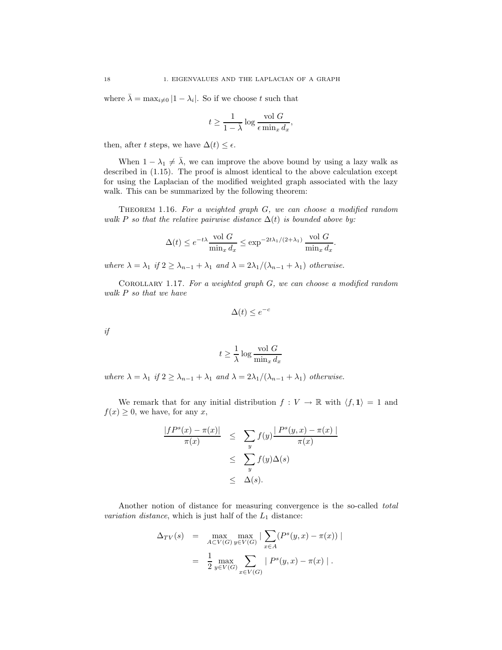where  $\overline{\lambda} = \max_{i \neq 0} |1 - \lambda_i|$ . So if we choose t such that

$$
t \ge \frac{1}{1-\bar{\lambda}} \log \frac{\operatorname{vol} G}{\epsilon \min_x d_x},
$$

then, after t steps, we have  $\Delta(t) \leq \epsilon$ .

When  $1 - \lambda_1 \neq \overline{\lambda}$ , we can improve the above bound by using a lazy walk as described in (1.15). The proof is almost identical to the above calculation except for using the Laplacian of the modified weighted graph associated with the lazy walk. This can be summarized by the following theorem:

Theorem 1.16. *For a weighted graph* G*, we can choose a modified random walk* P so that the relative pairwise distance  $\Delta(t)$  *is bounded above by:* 

$$
\Delta(t) \le e^{-t\lambda} \frac{\text{vol } G}{\min_x d_x} \le \exp^{-2t\lambda_1/(2+\lambda_1)} \frac{\text{vol } G}{\min_x d_x}
$$

.

*where*  $\lambda = \lambda_1$  *if*  $2 \ge \lambda_{n-1} + \lambda_1$  *and*  $\lambda = 2\lambda_1/(\lambda_{n-1} + \lambda_1)$  *otherwise.* 

Corollary 1.17. *For a weighted graph* G*, we can choose a modified random walk* P *so that we have*

$$
\Delta(t) \le e^{-c}
$$

*if*

$$
t \ge \frac{1}{\lambda} \log \frac{\text{vol } G}{\min_x d_x}
$$

*where*  $\lambda = \lambda_1$  *if*  $2 \ge \lambda_{n-1} + \lambda_1$  *and*  $\lambda = 2\lambda_1/(\lambda_{n-1} + \lambda_1)$  *otherwise.* 

We remark that for any initial distribution  $f: V \to \mathbb{R}$  with  $\langle f, \mathbf{1} \rangle = 1$  and  $f(x) \geq 0$ , we have, for any x,

$$
\frac{|fP^s(x) - \pi(x)|}{\pi(x)} \leq \sum_y f(y) \frac{|P^s(y, x) - \pi(x)|}{\pi(x)}
$$
  

$$
\leq \sum_y f(y) \Delta(s)
$$
  

$$
\leq \Delta(s).
$$

Another notion of distance for measuring convergence is the so-called *total variation distance*, which is just half of the  $L_1$  distance:

$$
\Delta_{TV}(s) = \max_{A \subset V(G)} \max_{y \in V(G)} |\sum_{x \in A} (P^s(y, x) - \pi(x))|
$$
  
= 
$$
\frac{1}{2} \max_{y \in V(G)} \sum_{x \in V(G)} |P^s(y, x) - \pi(x)|.
$$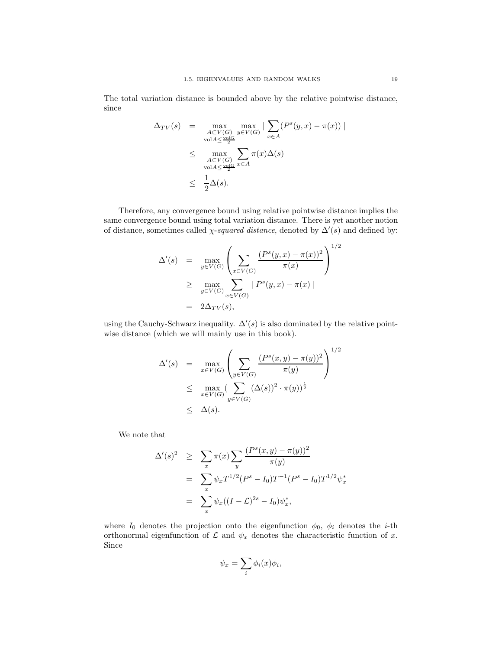The total variation distance is bounded above by the relative pointwise distance, since

$$
\Delta_{TV}(s) = \max_{\substack{A \subset V(G) \\ \text{vol}A \le \frac{\text{vol}G}{2}}} \max_{y \in V(G)} |\sum_{x \in A} (P^s(y, x) - \pi(x))|
$$
  

$$
\le \max_{\substack{A \subset V(G) \\ \text{vol}A \le \frac{\text{vol}G}{2}}} \sum_{x \in A} \pi(x) \Delta(s)
$$
  

$$
\le \frac{1}{2} \Delta(s).
$$

Therefore, any convergence bound using relative pointwise distance implies the same convergence bound using total variation distance. There is yet another notion of distance, sometimes called  $\chi$ -*squared distance*, denoted by  $\Delta'(s)$  and defined by:

$$
\Delta'(s) = \max_{y \in V(G)} \left( \sum_{x \in V(G)} \frac{(P^s(y, x) - \pi(x))^2}{\pi(x)} \right)^{1/2} \n\ge \max_{y \in V(G)} \sum_{x \in V(G)} |P^s(y, x) - \pi(x)| \n= 2\Delta_{TV}(s),
$$

using the Cauchy-Schwarz inequality.  $\Delta'(s)$  is also dominated by the relative pointwise distance (which we will mainly use in this book).

$$
\Delta'(s) = \max_{x \in V(G)} \left( \sum_{y \in V(G)} \frac{(P^s(x, y) - \pi(y))^2}{\pi(y)} \right)^{1/2}
$$
  

$$
\leq \max_{x \in V(G)} \left( \sum_{y \in V(G)} (\Delta(s))^2 \cdot \pi(y) \right)^{\frac{1}{2}}
$$
  

$$
\leq \Delta(s).
$$

We note that

$$
\Delta'(s)^2 \geq \sum_x \pi(x) \sum_y \frac{(P^s(x, y) - \pi(y))^2}{\pi(y)}
$$
  
= 
$$
\sum_x \psi_x T^{1/2} (P^s - I_0) T^{-1} (P^s - I_0) T^{1/2} \psi_x^*
$$
  
= 
$$
\sum_x \psi_x ((I - \mathcal{L})^{2s} - I_0) \psi_x^*,
$$

where  $I_0$  denotes the projection onto the eigenfunction  $\phi_0$ ,  $\phi_i$  denotes the *i*-th orthonormal eigenfunction of  $\mathcal L$  and  $\psi_x$  denotes the characteristic function of x. Since

$$
\psi_x = \sum_i \phi_i(x) \phi_i,
$$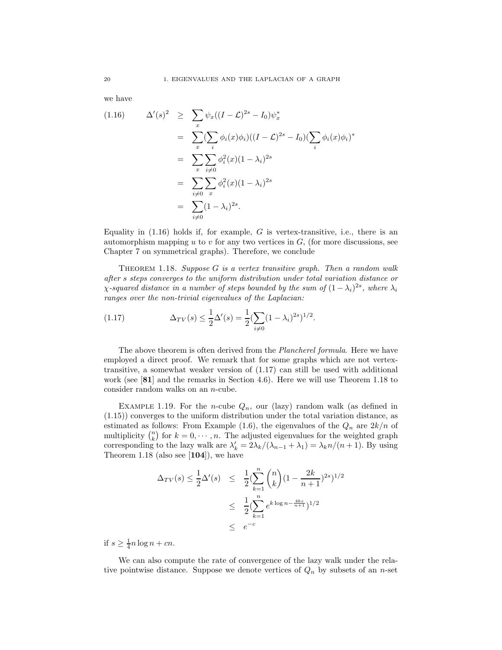we have

(1.16) 
$$
\Delta'(s)^2 \geq \sum_x \psi_x((I-\mathcal{L})^{2s} - I_0)\psi_x^*
$$
  
\n
$$
= \sum_x (\sum_i \phi_i(x)\phi_i)((I-\mathcal{L})^{2s} - I_0)(\sum_i \phi_i(x)\phi_i)^*
$$
  
\n
$$
= \sum_x \sum_{i \neq 0} \phi_i^2(x)(1-\lambda_i)^{2s}
$$
  
\n
$$
= \sum_{i \neq 0} \sum_x \phi_i^2(x)(1-\lambda_i)^{2s}
$$
  
\n
$$
= \sum_{i \neq 0} (1-\lambda_i)^{2s}.
$$

Equality in  $(1.16)$  holds if, for example, G is vertex-transitive, i.e., there is an automorphism mapping u to v for any two vertices in  $G$ , (for more discussions, see Chapter 7 on symmetrical graphs). Therefore, we conclude

Theorem 1.18. *Suppose* G *is a vertex transitive graph. Then a random walk after* s *steps converges to the uniform distribution under total variation distance or χ*-squared distance in a number of steps bounded by the sum of  $(1 - \lambda_i)^{2s}$ , where  $\lambda_i$ *ranges over the non-trivial eigenvalues of the Laplacian:*

(1.17) 
$$
\Delta_{TV}(s) \leq \frac{1}{2} \Delta'(s) = \frac{1}{2} \left( \sum_{i \neq 0} (1 - \lambda_i)^{2s} \right)^{1/2}.
$$

The above theorem is often derived from the *Plancherel formula*. Here we have employed a direct proof. We remark that for some graphs which are not vertextransitive, a somewhat weaker version of (1.17) can still be used with additional work (see [**81**] and the remarks in Section 4.6). Here we will use Theorem 1.18 to consider random walks on an n-cube.

EXAMPLE 1.19. For the *n*-cube  $Q_n$ , our (lazy) random walk (as defined in (1.15)) converges to the uniform distribution under the total variation distance, as estimated as follows: From Example (1.6), the eigenvalues of the  $Q_n$  are  $2k/n$  of multiplicity  $\binom{n}{k}$  for  $k = 0, \dots, n$ . The adjusted eigenvalues for the weighted graph corresponding to the lazy walk are  $\lambda'_k = 2\lambda_k/(\lambda_{n-1} + \lambda_1) = \lambda_k n/(n+1)$ . By using Theorem 1.18 (also see [**104**]), we have

$$
\Delta_{TV}(s) \le \frac{1}{2} \Delta'(s) \le \frac{1}{2} \left( \sum_{k=1}^n {n \choose k} \left( 1 - \frac{2k}{n+1} \right)^{2s} \right)^{1/2}
$$
  

$$
\le \frac{1}{2} \left( \sum_{k=1}^n e^{k \log n - \frac{4ks}{n+1}} \right)^{1/2}
$$
  

$$
\le e^{-c}
$$

if  $s \geq \frac{1}{4}n \log n + cn$ .

We can also compute the rate of convergence of the lazy walk under the relative pointwise distance. Suppose we denote vertices of  $Q_n$  by subsets of an n-set

20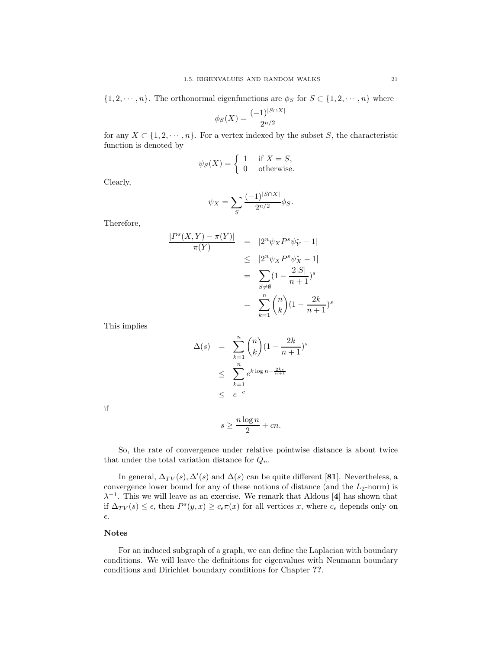$\{1, 2, \dots, n\}$ . The orthonormal eigenfunctions are  $\phi_S$  for  $S \subset \{1, 2, \dots, n\}$  where

$$
\phi_S(X) = \frac{(-1)^{|S \cap X|}}{2^{n/2}}
$$

for any  $X \subset \{1, 2, \dots, n\}$ . For a vertex indexed by the subset S, the characteristic function is denoted by

$$
\psi_S(X) = \begin{cases} 1 & \text{if } X = S, \\ 0 & \text{otherwise.} \end{cases}
$$

Clearly,

$$
\psi_X = \sum_{S} \frac{(-1)^{|S \cap X|}}{2^{n/2}} \phi_S.
$$

Therefore,

$$
\frac{|P^s(X,Y) - \pi(Y)|}{\pi(Y)} = |2^n \psi_X P^s \psi_Y^* - 1|
$$
  
\n
$$
\leq |2^n \psi_X P^s \psi_X^* - 1|
$$
  
\n
$$
= \sum_{S \neq \emptyset} (1 - \frac{2|S|}{n+1})^s
$$
  
\n
$$
= \sum_{k=1}^n {n \choose k} (1 - \frac{2k}{n+1})^s
$$

This implies

$$
\Delta(s) = \sum_{k=1}^{n} {n \choose k} (1 - \frac{2k}{n+1})^s
$$
  

$$
\leq \sum_{k=1}^{n} e^{k \log n - \frac{2ks}{n+1}}
$$
  

$$
\leq e^{-c}
$$

if

$$
s \ge \frac{n \log n}{2} + cn.
$$

So, the rate of convergence under relative pointwise distance is about twice that under the total variation distance for  $Q_n$ .

In general,  $\Delta_{TV}(s)$ ,  $\Delta'(s)$  and  $\Delta(s)$  can be quite different [81]. Nevertheless, a convergence lower bound for any of these notions of distance (and the  $L_2$ -norm) is  $\lambda^{-1}$ . This we will leave as an exercise. We remark that Aldous [4] has shown that if  $\Delta_{TV}(s) \leq \epsilon$ , then  $P^s(y, x) \geq c_{\epsilon} \pi(x)$  for all vertices x, where  $c_{\epsilon}$  depends only on  $\epsilon.$ 

### **Notes**

For an induced subgraph of a graph, we can define the Laplacian with boundary conditions. We will leave the definitions for eigenvalues with Neumann boundary conditions and Dirichlet boundary conditions for Chapter **??**.